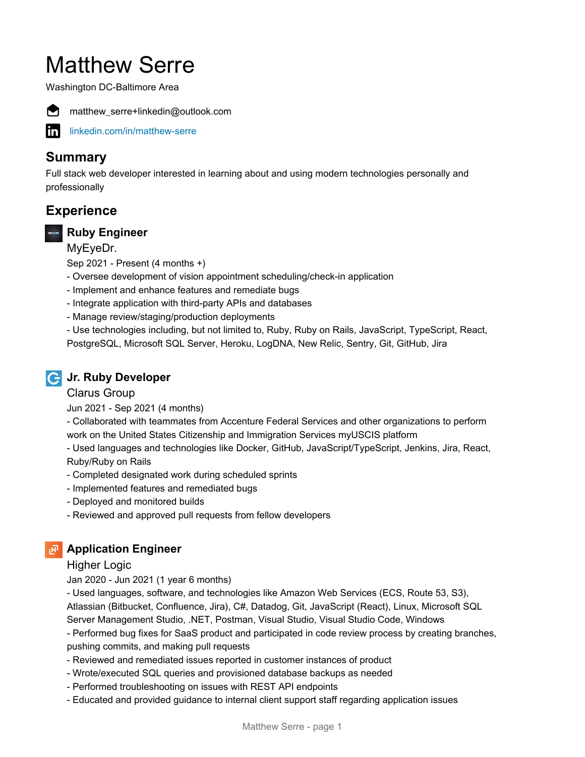# Matthew Serre

Washington DC-Baltimore Area



matthew\_serre+linkedin@outlook.com

[linkedin.com/in/matthew-serre](https://www.linkedin.com/in/matthew-serre)

# **Summary**

Full stack web developer interested in learning about and using modern technologies personally and professionally

# **Experience**

## **Ruby Engineer**

MyEyeDr.

Sep 2021 - Present (4 months +)

- Oversee development of vision appointment scheduling/check-in application
- Implement and enhance features and remediate bugs
- Integrate application with third-party APIs and databases
- Manage review/staging/production deployments

- Use technologies including, but not limited to, Ruby, Ruby on Rails, JavaScript, TypeScript, React, PostgreSQL, Microsoft SQL Server, Heroku, LogDNA, New Relic, Sentry, Git, GitHub, Jira

## **Jr. Ruby Developer**

#### Clarus Group

Jun 2021 - Sep 2021 (4 months)

- Collaborated with teammates from Accenture Federal Services and other organizations to perform work on the United States Citizenship and Immigration Services myUSCIS platform

- Used languages and technologies like Docker, GitHub, JavaScript/TypeScript, Jenkins, Jira, React, Ruby/Ruby on Rails

- Completed designated work during scheduled sprints
- Implemented features and remediated bugs
- Deployed and monitored builds
- Reviewed and approved pull requests from fellow developers

## **Application Engineer**

#### Higher Logic

Jan 2020 - Jun 2021 (1 year 6 months)

- Used languages, software, and technologies like Amazon Web Services (ECS, Route 53, S3), Atlassian (Bitbucket, Confluence, Jira), C#, Datadog, Git, JavaScript (React), Linux, Microsoft SQL

Server Management Studio, .NET, Postman, Visual Studio, Visual Studio Code, Windows

- Performed bug fixes for SaaS product and participated in code review process by creating branches, pushing commits, and making pull requests

- Reviewed and remediated issues reported in customer instances of product
- Wrote/executed SQL queries and provisioned database backups as needed
- Performed troubleshooting on issues with REST API endpoints
- Educated and provided guidance to internal client support staff regarding application issues